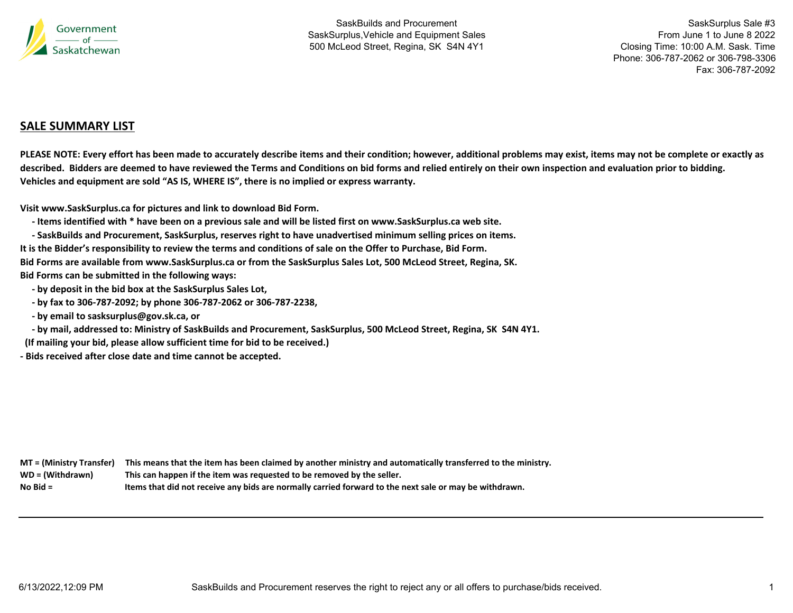

SaskSurplus Sale #3 From June 1 to June 8 2022Closing Time: 10:00 A.M. Sask. Time Phone: 306-787-2062 or 306-798-3306Fax: 306-787-2092

# **SALE SUMMARY LIST**

PLEASE NOTE: Every effort has been made to accurately describe items and their condition; however, additional problems may exist, items may not be complete or exactly as described. Bidders are deemed to have reviewed the Terms and Conditions on bid forms and relied entirely on their own inspection and evaluation prior to bidding. **Vehicles and equipment are sold "AS IS, WHERE IS", there is no implied or express warranty.**

**Visit www.SaskSurplus.ca for pictures and link to download Bid Form.**

- Items identified with \* have been on a previous sale and will be listed first on www.SaskSurplus.ca web site.

- SaskBuilds and Procurement, SaskSurplus, reserves right to have unadvertised minimum selling prices on items. It is the Bidder's responsibility to review the terms and conditions of sale on the Offer to Purchase, Bid Form. Bid Forms are available from www.SaskSurplus.ca or from the SaskSurplus Sales Lot, 500 McLeod Street, Regina, SK.

**Bid Forms can be submitted in the following ways:**

- **‐ by deposit in the bid box at the SaskSurplus Sales Lot,**
- by fax to 306-787-2092; by phone 306-787-2062 or 306-787-2238,
- **‐ by email to sasksurplus@gov.sk.ca, or**
- by mail, addressed to: Ministry of SaskBuilds and Procurement, SaskSurplus, 500 McLeod Street, Regina, SK S4N 4Y1.
- **(If mailing your bid, please allow sufficient time for bid to be received.)**
- **‐ Bids received after close date and time cannot be accepted.**

| MT = (Ministry Transfer) | This means that the item has been claimed by another ministry and automatically transferred to the ministry. |
|--------------------------|--------------------------------------------------------------------------------------------------------------|
| WD = (Withdrawn)         | This can happen if the item was requested to be removed by the seller.                                       |
| $No$ Bid $=$             | Items that did not receive any bids are normally carried forward to the next sale or may be withdrawn.       |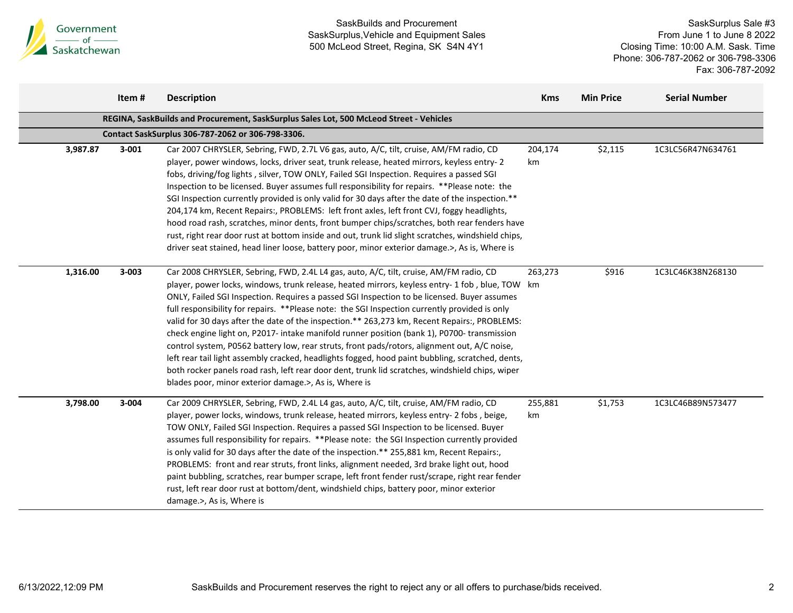

|          | Item#     | <b>Description</b>                                                                                                                                                                                                                                                                                                                                                                                                                                                                                                                                                                                                                                                                                                                                                                                                                                                                                                                                      | <b>Kms</b>    | <b>Min Price</b> | <b>Serial Number</b> |
|----------|-----------|---------------------------------------------------------------------------------------------------------------------------------------------------------------------------------------------------------------------------------------------------------------------------------------------------------------------------------------------------------------------------------------------------------------------------------------------------------------------------------------------------------------------------------------------------------------------------------------------------------------------------------------------------------------------------------------------------------------------------------------------------------------------------------------------------------------------------------------------------------------------------------------------------------------------------------------------------------|---------------|------------------|----------------------|
|          |           | REGINA, SaskBuilds and Procurement, SaskSurplus Sales Lot, 500 McLeod Street - Vehicles                                                                                                                                                                                                                                                                                                                                                                                                                                                                                                                                                                                                                                                                                                                                                                                                                                                                 |               |                  |                      |
|          |           | Contact SaskSurplus 306-787-2062 or 306-798-3306.                                                                                                                                                                                                                                                                                                                                                                                                                                                                                                                                                                                                                                                                                                                                                                                                                                                                                                       |               |                  |                      |
| 3,987.87 | $3 - 001$ | Car 2007 CHRYSLER, Sebring, FWD, 2.7L V6 gas, auto, A/C, tilt, cruise, AM/FM radio, CD<br>player, power windows, locks, driver seat, trunk release, heated mirrors, keyless entry-2<br>fobs, driving/fog lights, silver, TOW ONLY, Failed SGI Inspection. Requires a passed SGI<br>Inspection to be licensed. Buyer assumes full responsibility for repairs. ** Please note: the<br>SGI Inspection currently provided is only valid for 30 days after the date of the inspection.**<br>204,174 km, Recent Repairs:, PROBLEMS: left front axles, left front CVJ, foggy headlights,<br>hood road rash, scratches, minor dents, front bumper chips/scratches, both rear fenders have<br>rust, right rear door rust at bottom inside and out, trunk lid slight scratches, windshield chips,<br>driver seat stained, head liner loose, battery poor, minor exterior damage.>, As is, Where is                                                                | 204,174<br>km | \$2,115          | 1C3LC56R47N634761    |
| 1,316.00 | $3 - 003$ | Car 2008 CHRYSLER, Sebring, FWD, 2.4L L4 gas, auto, A/C, tilt, cruise, AM/FM radio, CD<br>player, power locks, windows, trunk release, heated mirrors, keyless entry-1 fob, blue, TOW km<br>ONLY, Failed SGI Inspection. Requires a passed SGI Inspection to be licensed. Buyer assumes<br>full responsibility for repairs. **Please note: the SGI Inspection currently provided is only<br>valid for 30 days after the date of the inspection.** 263,273 km, Recent Repairs:, PROBLEMS:<br>check engine light on, P2017- intake manifold runner position (bank 1), P0700- transmission<br>control system, P0562 battery low, rear struts, front pads/rotors, alignment out, A/C noise,<br>left rear tail light assembly cracked, headlights fogged, hood paint bubbling, scratched, dents,<br>both rocker panels road rash, left rear door dent, trunk lid scratches, windshield chips, wiper<br>blades poor, minor exterior damage.>, As is, Where is | 263,273       | \$916            | 1C3LC46K38N268130    |
| 3,798.00 | 3-004     | Car 2009 CHRYSLER, Sebring, FWD, 2.4L L4 gas, auto, A/C, tilt, cruise, AM/FM radio, CD<br>player, power locks, windows, trunk release, heated mirrors, keyless entry- 2 fobs, beige,<br>TOW ONLY, Failed SGI Inspection. Requires a passed SGI Inspection to be licensed. Buyer<br>assumes full responsibility for repairs. **Please note: the SGI Inspection currently provided<br>is only valid for 30 days after the date of the inspection.** 255,881 km, Recent Repairs:,<br>PROBLEMS: front and rear struts, front links, alignment needed, 3rd brake light out, hood<br>paint bubbling, scratches, rear bumper scrape, left front fender rust/scrape, right rear fender<br>rust, left rear door rust at bottom/dent, windshield chips, battery poor, minor exterior<br>damage.>, As is, Where is                                                                                                                                                 | 255,881<br>km | \$1,753          | 1C3LC46B89N573477    |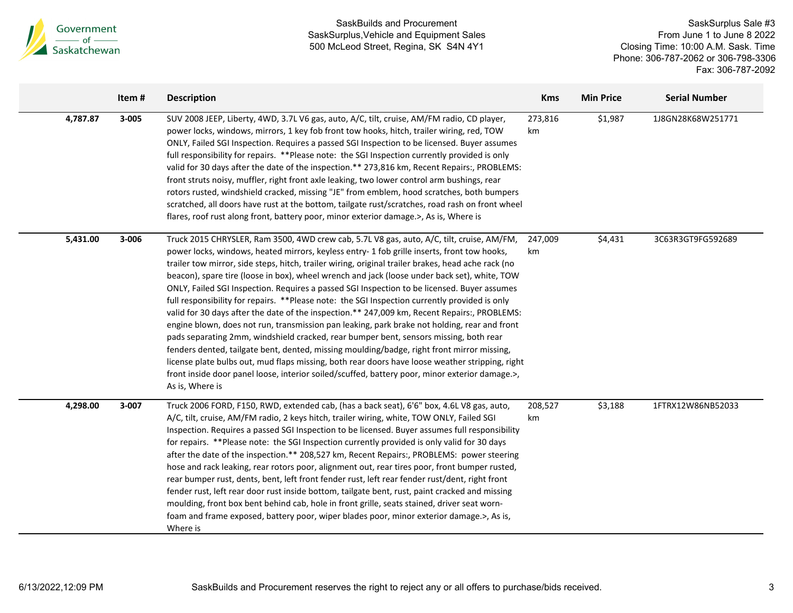

|          | Item# | <b>Description</b>                                                                                                                                                                                                                                                                                                                                                                                                                                                                                                                                                                                                                                                                                                                                                                                                                                                                                                                                                                                                                                                                                                                                                                                            | <b>Kms</b>    | <b>Min Price</b> | <b>Serial Number</b> |
|----------|-------|---------------------------------------------------------------------------------------------------------------------------------------------------------------------------------------------------------------------------------------------------------------------------------------------------------------------------------------------------------------------------------------------------------------------------------------------------------------------------------------------------------------------------------------------------------------------------------------------------------------------------------------------------------------------------------------------------------------------------------------------------------------------------------------------------------------------------------------------------------------------------------------------------------------------------------------------------------------------------------------------------------------------------------------------------------------------------------------------------------------------------------------------------------------------------------------------------------------|---------------|------------------|----------------------|
| 4,787.87 | 3-005 | SUV 2008 JEEP, Liberty, 4WD, 3.7L V6 gas, auto, A/C, tilt, cruise, AM/FM radio, CD player,<br>power locks, windows, mirrors, 1 key fob front tow hooks, hitch, trailer wiring, red, TOW<br>ONLY, Failed SGI Inspection. Requires a passed SGI Inspection to be licensed. Buyer assumes<br>full responsibility for repairs. **Please note: the SGI Inspection currently provided is only<br>valid for 30 days after the date of the inspection.** 273,816 km, Recent Repairs:, PROBLEMS:<br>front struts noisy, muffler, right front axle leaking, two lower control arm bushings, rear<br>rotors rusted, windshield cracked, missing "JE" from emblem, hood scratches, both bumpers<br>scratched, all doors have rust at the bottom, tailgate rust/scratches, road rash on front wheel<br>flares, roof rust along front, battery poor, minor exterior damage.>, As is, Where is                                                                                                                                                                                                                                                                                                                               | 273,816<br>km | \$1,987          | 1J8GN28K68W251771    |
| 5,431.00 | 3-006 | Truck 2015 CHRYSLER, Ram 3500, 4WD crew cab, 5.7L V8 gas, auto, A/C, tilt, cruise, AM/FM,<br>power locks, windows, heated mirrors, keyless entry- 1 fob grille inserts, front tow hooks,<br>trailer tow mirror, side steps, hitch, trailer wiring, original trailer brakes, head ache rack (no<br>beacon), spare tire (loose in box), wheel wrench and jack (loose under back set), white, TOW<br>ONLY, Failed SGI Inspection. Requires a passed SGI Inspection to be licensed. Buyer assumes<br>full responsibility for repairs. **Please note: the SGI Inspection currently provided is only<br>valid for 30 days after the date of the inspection.** 247,009 km, Recent Repairs:, PROBLEMS:<br>engine blown, does not run, transmission pan leaking, park brake not holding, rear and front<br>pads separating 2mm, windshield cracked, rear bumper bent, sensors missing, both rear<br>fenders dented, tailgate bent, dented, missing moulding/badge, right front mirror missing,<br>license plate bulbs out, mud flaps missing, both rear doors have loose weather stripping, right<br>front inside door panel loose, interior soiled/scuffed, battery poor, minor exterior damage.>,<br>As is, Where is | 247,009<br>km | \$4,431          | 3C63R3GT9FG592689    |
| 4,298.00 | 3-007 | Truck 2006 FORD, F150, RWD, extended cab, (has a back seat), 6'6" box, 4.6L V8 gas, auto,<br>A/C, tilt, cruise, AM/FM radio, 2 keys hitch, trailer wiring, white, TOW ONLY, Failed SGI<br>Inspection. Requires a passed SGI Inspection to be licensed. Buyer assumes full responsibility<br>for repairs. **Please note: the SGI Inspection currently provided is only valid for 30 days<br>after the date of the inspection.** 208,527 km, Recent Repairs:, PROBLEMS: power steering<br>hose and rack leaking, rear rotors poor, alignment out, rear tires poor, front bumper rusted,<br>rear bumper rust, dents, bent, left front fender rust, left rear fender rust/dent, right front<br>fender rust, left rear door rust inside bottom, tailgate bent, rust, paint cracked and missing<br>moulding, front box bent behind cab, hole in front grille, seats stained, driver seat worn-<br>foam and frame exposed, battery poor, wiper blades poor, minor exterior damage.>, As is,<br>Where is                                                                                                                                                                                                              | 208,527<br>km | \$3,188          | 1FTRX12W86NB52033    |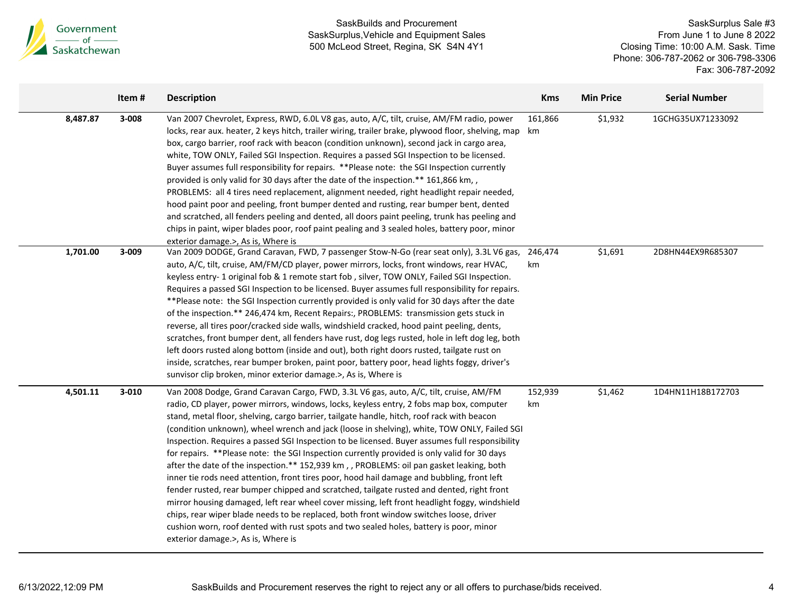

|          | Item#     | <b>Description</b>                                                                                                                                                                                                                                                                                                                                                                                                                                                                                                                                                                                                                                                                                                                                                                                                                                                                                                                                                                                                                                                                                                                                                                                | <b>Kms</b>    | <b>Min Price</b> | <b>Serial Number</b> |
|----------|-----------|---------------------------------------------------------------------------------------------------------------------------------------------------------------------------------------------------------------------------------------------------------------------------------------------------------------------------------------------------------------------------------------------------------------------------------------------------------------------------------------------------------------------------------------------------------------------------------------------------------------------------------------------------------------------------------------------------------------------------------------------------------------------------------------------------------------------------------------------------------------------------------------------------------------------------------------------------------------------------------------------------------------------------------------------------------------------------------------------------------------------------------------------------------------------------------------------------|---------------|------------------|----------------------|
| 8,487.87 | $3 - 008$ | Van 2007 Chevrolet, Express, RWD, 6.0L V8 gas, auto, A/C, tilt, cruise, AM/FM radio, power<br>locks, rear aux. heater, 2 keys hitch, trailer wiring, trailer brake, plywood floor, shelving, map km<br>box, cargo barrier, roof rack with beacon (condition unknown), second jack in cargo area,<br>white, TOW ONLY, Failed SGI Inspection. Requires a passed SGI Inspection to be licensed.<br>Buyer assumes full responsibility for repairs. **Please note: the SGI Inspection currently<br>provided is only valid for 30 days after the date of the inspection.** 161,866 km,,<br>PROBLEMS: all 4 tires need replacement, alignment needed, right headlight repair needed,<br>hood paint poor and peeling, front bumper dented and rusting, rear bumper bent, dented<br>and scratched, all fenders peeling and dented, all doors paint peeling, trunk has peeling and<br>chips in paint, wiper blades poor, roof paint pealing and 3 sealed holes, battery poor, minor<br>exterior damage.>, As is, Where is                                                                                                                                                                                   | 161,866       | \$1,932          | 1GCHG35UX71233092    |
| 1,701.00 | 3-009     | Van 2009 DODGE, Grand Caravan, FWD, 7 passenger Stow-N-Go (rear seat only), 3.3L V6 gas,<br>auto, A/C, tilt, cruise, AM/FM/CD player, power mirrors, locks, front windows, rear HVAC,<br>keyless entry-1 original fob & 1 remote start fob, silver, TOW ONLY, Failed SGI Inspection.<br>Requires a passed SGI Inspection to be licensed. Buyer assumes full responsibility for repairs.<br>** Please note: the SGI Inspection currently provided is only valid for 30 days after the date<br>of the inspection.** 246,474 km, Recent Repairs:, PROBLEMS: transmission gets stuck in<br>reverse, all tires poor/cracked side walls, windshield cracked, hood paint peeling, dents,<br>scratches, front bumper dent, all fenders have rust, dog legs rusted, hole in left dog leg, both<br>left doors rusted along bottom (inside and out), both right doors rusted, tailgate rust on<br>inside, scratches, rear bumper broken, paint poor, battery poor, head lights foggy, driver's<br>sunvisor clip broken, minor exterior damage.>, As is, Where is                                                                                                                                             | 246,474<br>km | \$1,691          | 2D8HN44EX9R685307    |
| 4,501.11 | $3 - 010$ | Van 2008 Dodge, Grand Caravan Cargo, FWD, 3.3L V6 gas, auto, A/C, tilt, cruise, AM/FM<br>radio, CD player, power mirrors, windows, locks, keyless entry, 2 fobs map box, computer<br>stand, metal floor, shelving, cargo barrier, tailgate handle, hitch, roof rack with beacon<br>(condition unknown), wheel wrench and jack (loose in shelving), white, TOW ONLY, Failed SGI<br>Inspection. Requires a passed SGI Inspection to be licensed. Buyer assumes full responsibility<br>for repairs. **Please note: the SGI Inspection currently provided is only valid for 30 days<br>after the date of the inspection.** 152,939 km, , PROBLEMS: oil pan gasket leaking, both<br>inner tie rods need attention, front tires poor, hood hail damage and bubbling, front left<br>fender rusted, rear bumper chipped and scratched, tailgate rusted and dented, right front<br>mirror housing damaged, left rear wheel cover missing, left front headlight foggy, windshield<br>chips, rear wiper blade needs to be replaced, both front window switches loose, driver<br>cushion worn, roof dented with rust spots and two sealed holes, battery is poor, minor<br>exterior damage.>, As is, Where is | 152,939<br>km | \$1,462          | 1D4HN11H18B172703    |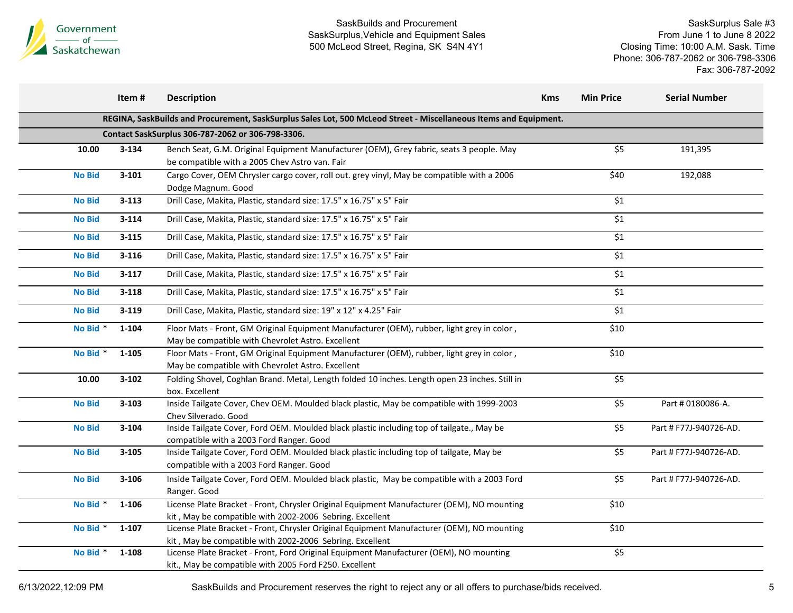

SaskSurplus Sale #3 From June 1 to June 8 2022 Closing Time: 10:00 A.M. Sask. Time Phone: 306-787-2062 or 306-798-3306 Fax: 306-787-2092

|               | Item#     | <b>Description</b>                                                                                                                                     | <b>Kms</b> | <b>Min Price</b>   | <b>Serial Number</b>   |
|---------------|-----------|--------------------------------------------------------------------------------------------------------------------------------------------------------|------------|--------------------|------------------------|
|               |           | REGINA, SaskBuilds and Procurement, SaskSurplus Sales Lot, 500 McLeod Street - Miscellaneous Items and Equipment.                                      |            |                    |                        |
|               |           | Contact SaskSurplus 306-787-2062 or 306-798-3306.                                                                                                      |            |                    |                        |
| 10.00         | $3 - 134$ | Bench Seat, G.M. Original Equipment Manufacturer (OEM), Grey fabric, seats 3 people. May<br>be compatible with a 2005 Chev Astro van. Fair             |            | \$5                | 191,395                |
| <b>No Bid</b> | $3 - 101$ | Cargo Cover, OEM Chrysler cargo cover, roll out. grey vinyl, May be compatible with a 2006<br>Dodge Magnum. Good                                       |            | \$40               | 192,088                |
| <b>No Bid</b> | $3 - 113$ | Drill Case, Makita, Plastic, standard size: 17.5" x 16.75" x 5" Fair                                                                                   |            | \$1                |                        |
| <b>No Bid</b> | $3 - 114$ | Drill Case, Makita, Plastic, standard size: 17.5" x 16.75" x 5" Fair                                                                                   |            | $\overline{\xi_1}$ |                        |
| <b>No Bid</b> | $3 - 115$ | Drill Case, Makita, Plastic, standard size: 17.5" x 16.75" x 5" Fair                                                                                   |            | \$1                |                        |
| <b>No Bid</b> | $3 - 116$ | Drill Case, Makita, Plastic, standard size: 17.5" x 16.75" x 5" Fair                                                                                   |            | \$1                |                        |
| <b>No Bid</b> | $3-117$   | Drill Case, Makita, Plastic, standard size: 17.5" x 16.75" x 5" Fair                                                                                   |            | \$1                |                        |
| <b>No Bid</b> | $3 - 118$ | Drill Case, Makita, Plastic, standard size: 17.5" x 16.75" x 5" Fair                                                                                   |            | \$1                |                        |
| <b>No Bid</b> | $3 - 119$ | Drill Case, Makita, Plastic, standard size: 19" x 12" x 4.25" Fair                                                                                     |            | \$1                |                        |
| No Bid *      | $1 - 104$ | Floor Mats - Front, GM Original Equipment Manufacturer (OEM), rubber, light grey in color,<br>May be compatible with Chevrolet Astro. Excellent        |            | \$10               |                        |
| No Bid *      | 1-105     | Floor Mats - Front, GM Original Equipment Manufacturer (OEM), rubber, light grey in color,<br>May be compatible with Chevrolet Astro. Excellent        |            | \$10               |                        |
| 10.00         | $3 - 102$ | Folding Shovel, Coghlan Brand. Metal, Length folded 10 inches. Length open 23 inches. Still in<br>box. Excellent                                       |            | \$5                |                        |
| <b>No Bid</b> | $3 - 103$ | Inside Tailgate Cover, Chev OEM. Moulded black plastic, May be compatible with 1999-2003<br>Chev Silverado. Good                                       |            | \$5                | Part # 0180086-A.      |
| <b>No Bid</b> | $3 - 104$ | Inside Tailgate Cover, Ford OEM. Moulded black plastic including top of tailgate., May be<br>compatible with a 2003 Ford Ranger. Good                  |            | \$5                | Part # F77J-940726-AD. |
| <b>No Bid</b> | $3 - 105$ | Inside Tailgate Cover, Ford OEM. Moulded black plastic including top of tailgate, May be<br>compatible with a 2003 Ford Ranger. Good                   |            | \$5                | Part # F77J-940726-AD. |
| <b>No Bid</b> | $3 - 106$ | Inside Tailgate Cover, Ford OEM. Moulded black plastic, May be compatible with a 2003 Ford<br>Ranger. Good                                             |            | \$5                | Part # F77J-940726-AD. |
| No Bid *      | $1 - 106$ | License Plate Bracket - Front, Chrysler Original Equipment Manufacturer (OEM), NO mounting<br>kit, May be compatible with 2002-2006 Sebring. Excellent |            | \$10               |                        |
| No Bid *      | $1 - 107$ | License Plate Bracket - Front, Chrysler Original Equipment Manufacturer (OEM), NO mounting<br>kit, May be compatible with 2002-2006 Sebring. Excellent |            | \$10               |                        |
| No Bid *      | $1 - 108$ | License Plate Bracket - Front, Ford Original Equipment Manufacturer (OEM), NO mounting<br>kit., May be compatible with 2005 Ford F250. Excellent       |            | \$5                |                        |

6/13/2022,12:09 PM SaskBuilds and Procurement reserves the right to reject any or all offers to purchase/bids received. 5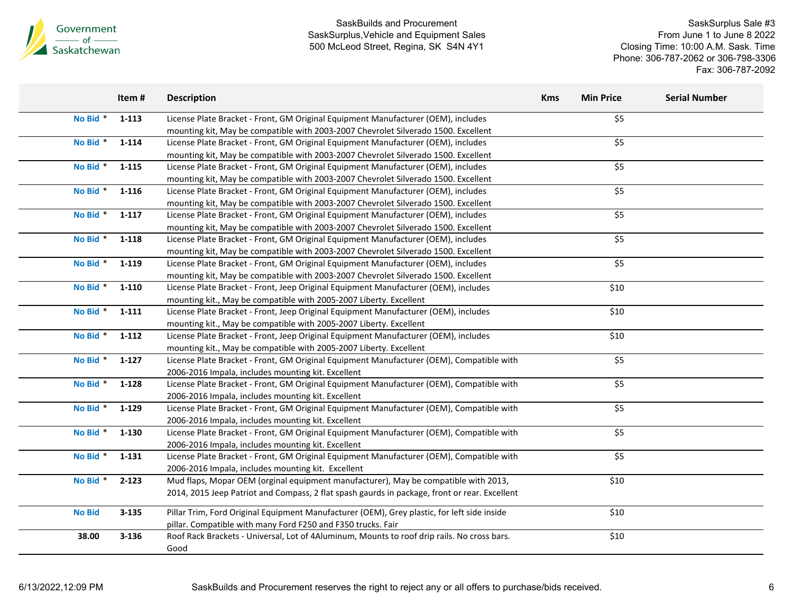

| No Bid *<br>$1 - 113$<br>License Plate Bracket - Front, GM Original Equipment Manufacturer (OEM), includes                   | \$5                       |  |
|------------------------------------------------------------------------------------------------------------------------------|---------------------------|--|
|                                                                                                                              |                           |  |
| mounting kit, May be compatible with 2003-2007 Chevrolet Silverado 1500. Excellent                                           |                           |  |
| No Bid *<br>$1 - 114$<br>License Plate Bracket - Front, GM Original Equipment Manufacturer (OEM), includes                   | \$5                       |  |
| mounting kit, May be compatible with 2003-2007 Chevrolet Silverado 1500. Excellent                                           |                           |  |
| No Bid *<br>1-115<br>License Plate Bracket - Front, GM Original Equipment Manufacturer (OEM), includes                       | \$5                       |  |
| mounting kit, May be compatible with 2003-2007 Chevrolet Silverado 1500. Excellent                                           |                           |  |
| No Bid *<br>1-116<br>License Plate Bracket - Front, GM Original Equipment Manufacturer (OEM), includes                       | \$5                       |  |
| mounting kit, May be compatible with 2003-2007 Chevrolet Silverado 1500. Excellent                                           |                           |  |
| No Bid *<br>$1 - 117$<br>License Plate Bracket - Front, GM Original Equipment Manufacturer (OEM), includes                   | $\overline{\frac{1}{5}}$  |  |
| mounting kit, May be compatible with 2003-2007 Chevrolet Silverado 1500. Excellent                                           |                           |  |
| No Bid *<br>$1 - 118$<br>License Plate Bracket - Front, GM Original Equipment Manufacturer (OEM), includes                   | \$5                       |  |
| mounting kit, May be compatible with 2003-2007 Chevrolet Silverado 1500. Excellent                                           |                           |  |
| No Bid *<br>1-119<br>License Plate Bracket - Front, GM Original Equipment Manufacturer (OEM), includes                       | $\overline{\text{S}}$     |  |
| mounting kit, May be compatible with 2003-2007 Chevrolet Silverado 1500. Excellent                                           |                           |  |
| No Bid *<br>1-110<br>License Plate Bracket - Front, Jeep Original Equipment Manufacturer (OEM), includes                     | \$10                      |  |
| mounting kit., May be compatible with 2005-2007 Liberty. Excellent                                                           |                           |  |
| No Bid *<br>1-111<br>License Plate Bracket - Front, Jeep Original Equipment Manufacturer (OEM), includes                     | \$10                      |  |
| mounting kit., May be compatible with 2005-2007 Liberty. Excellent                                                           |                           |  |
| No Bid *<br>$1 - 112$<br>License Plate Bracket - Front, Jeep Original Equipment Manufacturer (OEM), includes                 | \$10                      |  |
| mounting kit., May be compatible with 2005-2007 Liberty. Excellent                                                           |                           |  |
| No Bid *<br>$1 - 127$<br>License Plate Bracket - Front, GM Original Equipment Manufacturer (OEM), Compatible with            | \$5                       |  |
| 2006-2016 Impala, includes mounting kit. Excellent                                                                           |                           |  |
| No Bid *<br>$1 - 128$<br>License Plate Bracket - Front, GM Original Equipment Manufacturer (OEM), Compatible with            | \$5                       |  |
| 2006-2016 Impala, includes mounting kit. Excellent                                                                           |                           |  |
| No Bid <sup>*</sup><br>$1 - 129$<br>License Plate Bracket - Front, GM Original Equipment Manufacturer (OEM), Compatible with | $\overline{\overline{5}}$ |  |
| 2006-2016 Impala, includes mounting kit. Excellent                                                                           |                           |  |
| No Bid *<br>1-130<br>License Plate Bracket - Front, GM Original Equipment Manufacturer (OEM), Compatible with                | \$5                       |  |
| 2006-2016 Impala, includes mounting kit. Excellent                                                                           |                           |  |
| No Bid *<br>1-131<br>License Plate Bracket - Front, GM Original Equipment Manufacturer (OEM), Compatible with                | \$5                       |  |
| 2006-2016 Impala, includes mounting kit. Excellent                                                                           |                           |  |
| No Bid *<br>$2 - 123$<br>Mud flaps, Mopar OEM (orginal equipment manufacturer), May be compatible with 2013,                 | \$10                      |  |
| 2014, 2015 Jeep Patriot and Compass, 2 flat spash gaurds in package, front or rear. Excellent                                |                           |  |
| <b>No Bid</b><br>$3 - 135$<br>Pillar Trim, Ford Original Equipment Manufacturer (OEM), Grey plastic, for left side inside    | \$10                      |  |
| pillar. Compatible with many Ford F250 and F350 trucks. Fair                                                                 |                           |  |
| Roof Rack Brackets - Universal, Lot of 4Aluminum, Mounts to roof drip rails. No cross bars.<br>38.00<br>$3 - 136$            | \$10                      |  |
| Good                                                                                                                         |                           |  |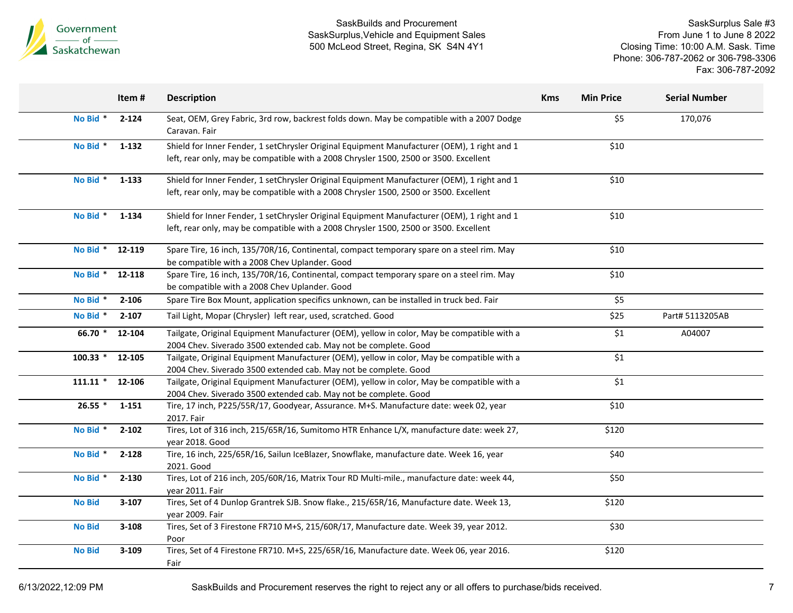

SaskSurplus Sale #3 From June 1 to June 8 2022 Closing Time: 10:00 A.M. Sask. Time Phone: 306-787-2062 or 306-798-3306 Fax: 306-787-2092

|               | Item#     | <b>Description</b>                                                                                                                                                                   | <b>Kms</b> | <b>Min Price</b>   | <b>Serial Number</b> |
|---------------|-----------|--------------------------------------------------------------------------------------------------------------------------------------------------------------------------------------|------------|--------------------|----------------------|
| No Bid *      | $2 - 124$ | Seat, OEM, Grey Fabric, 3rd row, backrest folds down. May be compatible with a 2007 Dodge<br>Caravan. Fair                                                                           |            | \$5                | 170,076              |
| No Bid *      | 1-132     | Shield for Inner Fender, 1 setChrysler Original Equipment Manufacturer (OEM), 1 right and 1<br>left, rear only, may be compatible with a 2008 Chrysler 1500, 2500 or 3500. Excellent |            | \$10               |                      |
| No Bid *      | 1-133     | Shield for Inner Fender, 1 setChrysler Original Equipment Manufacturer (OEM), 1 right and 1<br>left, rear only, may be compatible with a 2008 Chrysler 1500, 2500 or 3500. Excellent |            | \$10               |                      |
| No Bid *      | 1-134     | Shield for Inner Fender, 1 setChrysler Original Equipment Manufacturer (OEM), 1 right and 1<br>left, rear only, may be compatible with a 2008 Chrysler 1500, 2500 or 3500. Excellent |            | \$10               |                      |
| No Bid *      | 12-119    | Spare Tire, 16 inch, 135/70R/16, Continental, compact temporary spare on a steel rim. May<br>be compatible with a 2008 Chev Uplander. Good                                           |            | \$10               |                      |
| No Bid *      | 12-118    | Spare Tire, 16 inch, 135/70R/16, Continental, compact temporary spare on a steel rim. May<br>be compatible with a 2008 Chev Uplander. Good                                           |            | \$10               |                      |
| No Bid *      | $2 - 106$ | Spare Tire Box Mount, application specifics unknown, can be installed in truck bed. Fair                                                                                             |            | \$5                |                      |
| No Bid *      | $2 - 107$ | Tail Light, Mopar (Chrysler) left rear, used, scratched. Good                                                                                                                        |            | \$25               | Part# 5113205AB      |
| 66.70 *       | 12-104    | Tailgate, Original Equipment Manufacturer (OEM), yellow in color, May be compatible with a<br>2004 Chev. Siverado 3500 extended cab. May not be complete. Good                       |            | \$1                | A04007               |
| $100.33$ *    | 12-105    | Tailgate, Original Equipment Manufacturer (OEM), yellow in color, May be compatible with a<br>2004 Chev. Siverado 3500 extended cab. May not be complete. Good                       |            | $\overline{\xi_1}$ |                      |
| $111.11*$     | 12-106    | Tailgate, Original Equipment Manufacturer (OEM), yellow in color, May be compatible with a<br>2004 Chev. Siverado 3500 extended cab. May not be complete. Good                       |            | $\overline{\xi_1}$ |                      |
| $26.55*$      | 1-151     | Tire, 17 inch, P225/55R/17, Goodyear, Assurance. M+S. Manufacture date: week 02, year<br>2017. Fair                                                                                  |            | \$10               |                      |
| No Bid *      | $2 - 102$ | Tires, Lot of 316 inch, 215/65R/16, Sumitomo HTR Enhance L/X, manufacture date: week 27,<br>year 2018. Good                                                                          |            | \$120              |                      |
| No Bid *      | 2-128     | Tire, 16 inch, 225/65R/16, Sailun IceBlazer, Snowflake, manufacture date. Week 16, year<br>2021. Good                                                                                |            | \$40               |                      |
| No Bid *      | $2 - 130$ | Tires, Lot of 216 inch, 205/60R/16, Matrix Tour RD Multi-mile., manufacture date: week 44,<br>year 2011. Fair                                                                        |            | \$50               |                      |
| <b>No Bid</b> | $3 - 107$ | Tires, Set of 4 Dunlop Grantrek SJB. Snow flake., 215/65R/16, Manufacture date. Week 13,<br>vear 2009. Fair                                                                          |            | \$120              |                      |
| <b>No Bid</b> | $3 - 108$ | Tires, Set of 3 Firestone FR710 M+S, 215/60R/17, Manufacture date. Week 39, year 2012.<br>Poor                                                                                       |            | \$30               |                      |
| <b>No Bid</b> | $3 - 109$ | Tires, Set of 4 Firestone FR710. M+S, 225/65R/16, Manufacture date. Week 06, year 2016.<br>Fair                                                                                      |            | \$120              |                      |

6/13/2022,12:09 PM SaskBuilds and Procurement reserves the right to reject any or all offers to purchase/bids received. 7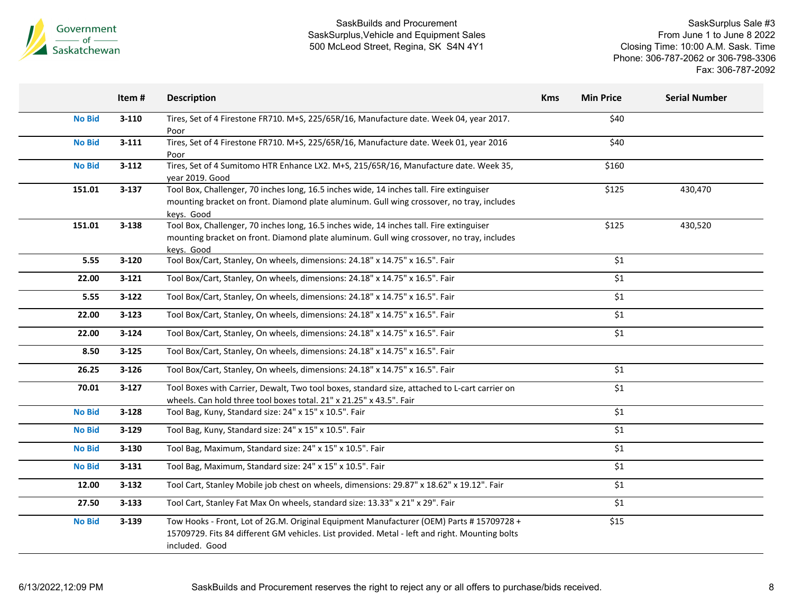

|               | Item#     | <b>Description</b>                                                                                                                                                                                          | <b>Kms</b> | <b>Min Price</b>   | <b>Serial Number</b> |
|---------------|-----------|-------------------------------------------------------------------------------------------------------------------------------------------------------------------------------------------------------------|------------|--------------------|----------------------|
| <b>No Bid</b> | $3 - 110$ | Tires, Set of 4 Firestone FR710. M+S, 225/65R/16, Manufacture date. Week 04, year 2017.<br>Poor                                                                                                             |            | \$40               |                      |
| <b>No Bid</b> | $3 - 111$ | Tires, Set of 4 Firestone FR710. M+S, 225/65R/16, Manufacture date. Week 01, year 2016<br>Poor                                                                                                              |            | \$40               |                      |
| <b>No Bid</b> | $3 - 112$ | Tires, Set of 4 Sumitomo HTR Enhance LX2. M+S, 215/65R/16, Manufacture date. Week 35,<br>year 2019. Good                                                                                                    |            | \$160              |                      |
| 151.01        | $3 - 137$ | Tool Box, Challenger, 70 inches long, 16.5 inches wide, 14 inches tall. Fire extinguiser<br>mounting bracket on front. Diamond plate aluminum. Gull wing crossover, no tray, includes<br>keys. Good         |            | \$125              | 430,470              |
| 151.01        | $3 - 138$ | Tool Box, Challenger, 70 inches long, 16.5 inches wide, 14 inches tall. Fire extinguiser<br>mounting bracket on front. Diamond plate aluminum. Gull wing crossover, no tray, includes<br>kevs. Good         |            | \$125              | 430,520              |
| 5.55          | $3 - 120$ | Tool Box/Cart, Stanley, On wheels, dimensions: 24.18" x 14.75" x 16.5". Fair                                                                                                                                |            | \$1                |                      |
| 22.00         | $3 - 121$ | Tool Box/Cart, Stanley, On wheels, dimensions: 24.18" x 14.75" x 16.5". Fair                                                                                                                                |            | \$1                |                      |
| 5.55          | $3 - 122$ | Tool Box/Cart, Stanley, On wheels, dimensions: 24.18" x 14.75" x 16.5". Fair                                                                                                                                |            | \$1                |                      |
| 22.00         | $3 - 123$ | Tool Box/Cart, Stanley, On wheels, dimensions: 24.18" x 14.75" x 16.5". Fair                                                                                                                                |            | \$1                |                      |
| 22.00         | $3 - 124$ | Tool Box/Cart, Stanley, On wheels, dimensions: 24.18" x 14.75" x 16.5". Fair                                                                                                                                |            | \$1                |                      |
| 8.50          | $3 - 125$ | Tool Box/Cart, Stanley, On wheels, dimensions: 24.18" x 14.75" x 16.5". Fair                                                                                                                                |            |                    |                      |
| 26.25         | $3 - 126$ | Tool Box/Cart, Stanley, On wheels, dimensions: 24.18" x 14.75" x 16.5". Fair                                                                                                                                |            | \$1                |                      |
| 70.01         | $3 - 127$ | Tool Boxes with Carrier, Dewalt, Two tool boxes, standard size, attached to L-cart carrier on<br>wheels. Can hold three tool boxes total. 21" x 21.25" x 43.5". Fair                                        |            | $\overline{\xi_1}$ |                      |
| <b>No Bid</b> | $3 - 128$ | Tool Bag, Kuny, Standard size: 24" x 15" x 10.5". Fair                                                                                                                                                      |            | \$1                |                      |
| <b>No Bid</b> | $3 - 129$ | Tool Bag, Kuny, Standard size: 24" x 15" x 10.5". Fair                                                                                                                                                      |            | \$1                |                      |
| <b>No Bid</b> | $3 - 130$ | Tool Bag, Maximum, Standard size: 24" x 15" x 10.5". Fair                                                                                                                                                   |            | \$1                |                      |
| <b>No Bid</b> | $3 - 131$ | Tool Bag, Maximum, Standard size: 24" x 15" x 10.5". Fair                                                                                                                                                   |            | \$1                |                      |
| 12.00         | $3 - 132$ | Tool Cart, Stanley Mobile job chest on wheels, dimensions: 29.87" x 18.62" x 19.12". Fair                                                                                                                   |            | $$1$$              |                      |
| 27.50         | $3 - 133$ | Tool Cart, Stanley Fat Max On wheels, standard size: 13.33" x 21" x 29". Fair                                                                                                                               |            | \$1                |                      |
| <b>No Bid</b> | $3 - 139$ | Tow Hooks - Front, Lot of 2G.M. Original Equipment Manufacturer (OEM) Parts #15709728 +<br>15709729. Fits 84 different GM vehicles. List provided. Metal - left and right. Mounting bolts<br>included. Good |            | \$15               |                      |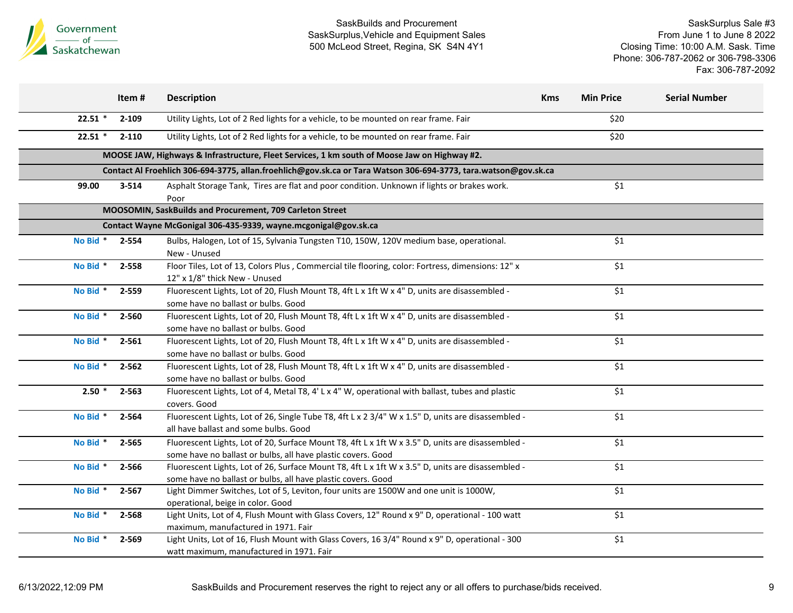

|           | Item#     | <b>Description</b>                                                                                                                                                | <b>Kms</b> | <b>Min Price</b>   | <b>Serial Number</b> |
|-----------|-----------|-------------------------------------------------------------------------------------------------------------------------------------------------------------------|------------|--------------------|----------------------|
| $22.51$ * | $2 - 109$ | Utility Lights, Lot of 2 Red lights for a vehicle, to be mounted on rear frame. Fair                                                                              |            | \$20               |                      |
| $22.51$ * | $2 - 110$ | Utility Lights, Lot of 2 Red lights for a vehicle, to be mounted on rear frame. Fair                                                                              |            | \$20               |                      |
|           |           | MOOSE JAW, Highways & Infrastructure, Fleet Services, 1 km south of Moose Jaw on Highway #2.                                                                      |            |                    |                      |
|           |           | Contact Al Froehlich 306-694-3775, allan.froehlich@gov.sk.ca or Tara Watson 306-694-3773, tara.watson@gov.sk.ca                                                   |            |                    |                      |
| 99.00     | 3-514     | Asphalt Storage Tank, Tires are flat and poor condition. Unknown if lights or brakes work.<br>Poor                                                                |            | \$1                |                      |
|           |           | MOOSOMIN, SaskBuilds and Procurement, 709 Carleton Street                                                                                                         |            |                    |                      |
|           |           | Contact Wayne McGonigal 306-435-9339, wayne.mcgonigal@gov.sk.ca                                                                                                   |            |                    |                      |
| No Bid *  | 2-554     | Bulbs, Halogen, Lot of 15, Sylvania Tungsten T10, 150W, 120V medium base, operational.<br>New - Unused                                                            |            | \$1                |                      |
| No Bid *  | 2-558     | Floor Tiles, Lot of 13, Colors Plus , Commercial tile flooring, color: Fortress, dimensions: 12" x<br>12" x 1/8" thick New - Unused                               |            | \$1                |                      |
| No Bid *  | 2-559     | Fluorescent Lights, Lot of 20, Flush Mount T8, 4ft L x 1ft W x 4" D, units are disassembled -<br>some have no ballast or bulbs. Good                              |            | $\overline{\xi_1}$ |                      |
| No Bid *  | 2-560     | Fluorescent Lights, Lot of 20, Flush Mount T8, 4ft L x 1ft W x 4" D, units are disassembled -<br>some have no ballast or bulbs. Good                              |            | \$1                |                      |
| No Bid *  | 2-561     | Fluorescent Lights, Lot of 20, Flush Mount T8, 4ft L x 1ft W x 4" D, units are disassembled -<br>some have no ballast or bulbs. Good                              |            | \$1                |                      |
| No Bid *  | $2 - 562$ | Fluorescent Lights, Lot of 28, Flush Mount T8, 4ft L x 1ft W x 4" D, units are disassembled -<br>some have no ballast or bulbs. Good                              |            | \$1                |                      |
| $2.50*$   | 2-563     | Fluorescent Lights, Lot of 4, Metal T8, 4' L x 4" W, operational with ballast, tubes and plastic<br>covers. Good                                                  |            | \$1                |                      |
| No Bid *  | 2-564     | Fluorescent Lights, Lot of 26, Single Tube T8, 4ft L x 2 3/4" W x 1.5" D, units are disassembled -<br>all have ballast and some bulbs. Good                       |            | \$1                |                      |
| No Bid *  | 2-565     | Fluorescent Lights, Lot of 20, Surface Mount T8, 4ft L x 1ft W x 3.5" D, units are disassembled -<br>some have no ballast or bulbs, all have plastic covers. Good |            | \$1                |                      |
| No Bid *  | 2-566     | Fluorescent Lights, Lot of 26, Surface Mount T8, 4ft L x 1ft W x 3.5" D, units are disassembled -<br>some have no ballast or bulbs, all have plastic covers. Good |            | $\overline{\$1}$   |                      |
| No Bid *  | $2 - 567$ | Light Dimmer Switches, Lot of 5, Leviton, four units are 1500W and one unit is 1000W,<br>operational, beige in color. Good                                        |            | \$1                |                      |
| No Bid *  | 2-568     | Light Units, Lot of 4, Flush Mount with Glass Covers, 12" Round x 9" D, operational - 100 watt<br>maximum, manufactured in 1971. Fair                             |            | \$1                |                      |
| No Bid *  | 2-569     | Light Units, Lot of 16, Flush Mount with Glass Covers, 16 3/4" Round x 9" D, operational - 300<br>watt maximum, manufactured in 1971. Fair                        |            | \$1                |                      |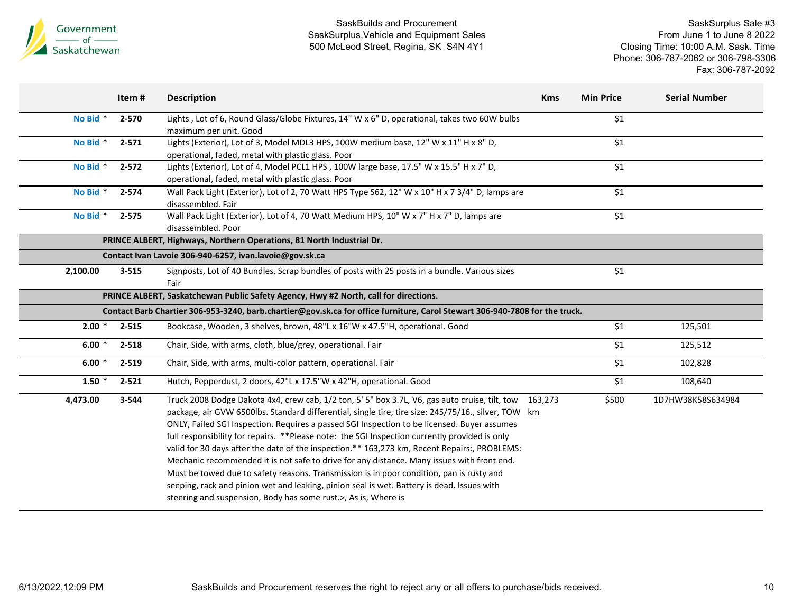

|          | Item#     | <b>Description</b>                                                                                                                                                                                                                                                                                                                                                                                                                                                                                                                                                                                                                                                                                                                                                                                                                                                      | <b>Kms</b> | <b>Min Price</b> | <b>Serial Number</b> |
|----------|-----------|-------------------------------------------------------------------------------------------------------------------------------------------------------------------------------------------------------------------------------------------------------------------------------------------------------------------------------------------------------------------------------------------------------------------------------------------------------------------------------------------------------------------------------------------------------------------------------------------------------------------------------------------------------------------------------------------------------------------------------------------------------------------------------------------------------------------------------------------------------------------------|------------|------------------|----------------------|
| No Bid * | $2 - 570$ | Lights, Lot of 6, Round Glass/Globe Fixtures, 14" W x 6" D, operational, takes two 60W bulbs<br>maximum per unit. Good                                                                                                                                                                                                                                                                                                                                                                                                                                                                                                                                                                                                                                                                                                                                                  |            | \$1              |                      |
| No Bid * | $2 - 571$ | Lights (Exterior), Lot of 3, Model MDL3 HPS, 100W medium base, 12" W x 11" H x 8" D,<br>operational, faded, metal with plastic glass. Poor                                                                                                                                                                                                                                                                                                                                                                                                                                                                                                                                                                                                                                                                                                                              |            | \$1              |                      |
| No Bid * | $2 - 572$ | Lights (Exterior), Lot of 4, Model PCL1 HPS, 100W large base, 17.5" W x 15.5" H x 7" D,<br>operational, faded, metal with plastic glass. Poor                                                                                                                                                                                                                                                                                                                                                                                                                                                                                                                                                                                                                                                                                                                           |            | \$1              |                      |
| No Bid * | 2-574     | Wall Pack Light (Exterior), Lot of 2, 70 Watt HPS Type S62, 12" W x 10" H x 7 3/4" D, lamps are<br>disassembled. Fair                                                                                                                                                                                                                                                                                                                                                                                                                                                                                                                                                                                                                                                                                                                                                   |            | $$1$$            |                      |
| No Bid * | 2-575     | Wall Pack Light (Exterior), Lot of 4, 70 Watt Medium HPS, 10" W x 7" H x 7" D, lamps are<br>disassembled. Poor                                                                                                                                                                                                                                                                                                                                                                                                                                                                                                                                                                                                                                                                                                                                                          |            | \$1              |                      |
|          |           | PRINCE ALBERT, Highways, Northern Operations, 81 North Industrial Dr.                                                                                                                                                                                                                                                                                                                                                                                                                                                                                                                                                                                                                                                                                                                                                                                                   |            |                  |                      |
|          |           | Contact Ivan Lavoie 306-940-6257, ivan.lavoie@gov.sk.ca                                                                                                                                                                                                                                                                                                                                                                                                                                                                                                                                                                                                                                                                                                                                                                                                                 |            |                  |                      |
| 2,100.00 | $3 - 515$ | Signposts, Lot of 40 Bundles, Scrap bundles of posts with 25 posts in a bundle. Various sizes<br>Fair                                                                                                                                                                                                                                                                                                                                                                                                                                                                                                                                                                                                                                                                                                                                                                   |            | \$1              |                      |
|          |           | PRINCE ALBERT, Saskatchewan Public Safety Agency, Hwy #2 North, call for directions.                                                                                                                                                                                                                                                                                                                                                                                                                                                                                                                                                                                                                                                                                                                                                                                    |            |                  |                      |
|          |           | Contact Barb Chartier 306-953-3240, barb.chartier@gov.sk.ca for office furniture, Carol Stewart 306-940-7808 for the truck.                                                                                                                                                                                                                                                                                                                                                                                                                                                                                                                                                                                                                                                                                                                                             |            |                  |                      |
| $2.00*$  | 2-515     | Bookcase, Wooden, 3 shelves, brown, 48"L x 16"W x 47.5"H, operational. Good                                                                                                                                                                                                                                                                                                                                                                                                                                                                                                                                                                                                                                                                                                                                                                                             |            | \$1              | 125,501              |
| $6.00*$  | 2-518     | Chair, Side, with arms, cloth, blue/grey, operational. Fair                                                                                                                                                                                                                                                                                                                                                                                                                                                                                                                                                                                                                                                                                                                                                                                                             |            | \$1              | 125,512              |
| $6.00*$  | $2 - 519$ | Chair, Side, with arms, multi-color pattern, operational. Fair                                                                                                                                                                                                                                                                                                                                                                                                                                                                                                                                                                                                                                                                                                                                                                                                          |            | \$1              | 102,828              |
| $1.50*$  | $2 - 521$ | Hutch, Pepperdust, 2 doors, 42"L x 17.5"W x 42"H, operational. Good                                                                                                                                                                                                                                                                                                                                                                                                                                                                                                                                                                                                                                                                                                                                                                                                     |            | \$1              | 108,640              |
| 4,473.00 | 3-544     | Truck 2008 Dodge Dakota 4x4, crew cab, 1/2 ton, 5' 5" box 3.7L, V6, gas auto cruise, tilt, tow 163,273<br>package, air GVW 6500lbs. Standard differential, single tire, tire size: 245/75/16., silver, TOW km<br>ONLY, Failed SGI Inspection. Requires a passed SGI Inspection to be licensed. Buyer assumes<br>full responsibility for repairs. **Please note: the SGI Inspection currently provided is only<br>valid for 30 days after the date of the inspection.** 163,273 km, Recent Repairs:, PROBLEMS:<br>Mechanic recommended it is not safe to drive for any distance. Many issues with front end.<br>Must be towed due to safety reasons. Transmission is in poor condition, pan is rusty and<br>seeping, rack and pinion wet and leaking, pinion seal is wet. Battery is dead. Issues with<br>steering and suspension, Body has some rust.>, As is, Where is |            | \$500            | 1D7HW38K58S634984    |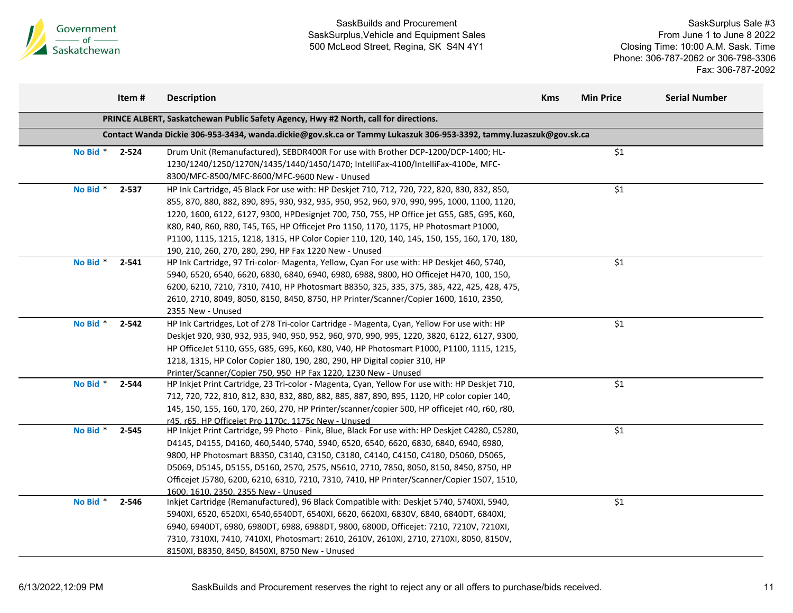

|          | Item#     | <b>Description</b>                                                                                                                                                                                                                                                                                                                                                                                                                                                                                                                          | <b>Kms</b> | <b>Min Price</b>   | <b>Serial Number</b> |
|----------|-----------|---------------------------------------------------------------------------------------------------------------------------------------------------------------------------------------------------------------------------------------------------------------------------------------------------------------------------------------------------------------------------------------------------------------------------------------------------------------------------------------------------------------------------------------------|------------|--------------------|----------------------|
|          |           | PRINCE ALBERT, Saskatchewan Public Safety Agency, Hwy #2 North, call for directions.                                                                                                                                                                                                                                                                                                                                                                                                                                                        |            |                    |                      |
|          |           | Contact Wanda Dickie 306-953-3434, wanda.dickie@gov.sk.ca or Tammy Lukaszuk 306-953-3392, tammy.luzaszuk@gov.sk.ca                                                                                                                                                                                                                                                                                                                                                                                                                          |            |                    |                      |
| No Bid * | 2-524     | Drum Unit (Remanufactured), SEBDR400R For use with Brother DCP-1200/DCP-1400; HL-<br>1230/1240/1250/1270N/1435/1440/1450/1470; IntelliFax-4100/IntelliFax-4100e, MFC-<br>8300/MFC-8500/MFC-8600/MFC-9600 New - Unused                                                                                                                                                                                                                                                                                                                       |            | \$1                |                      |
| No Bid * | $2 - 537$ | HP Ink Cartridge, 45 Black For use with: HP Deskjet 710, 712, 720, 722, 820, 830, 832, 850,<br>855, 870, 880, 882, 890, 895, 930, 932, 935, 950, 952, 960, 970, 990, 995, 1000, 1100, 1120,<br>1220, 1600, 6122, 6127, 9300, HPDesignjet 700, 750, 755, HP Office jet G55, G85, G95, K60,<br>K80, R40, R60, R80, T45, T65, HP Officejet Pro 1150, 1170, 1175, HP Photosmart P1000,<br>P1100, 1115, 1215, 1218, 1315, HP Color Copier 110, 120, 140, 145, 150, 155, 160, 170, 180,<br>190, 210, 260, 270, 280, 290, HP Fax 1220 New - Unused |            | \$1                |                      |
| No Bid * | 2-541     | HP Ink Cartridge, 97 Tri-color- Magenta, Yellow, Cyan For use with: HP Deskjet 460, 5740,<br>5940, 6520, 6540, 6620, 6830, 6840, 6940, 6980, 6988, 9800, HO Officejet H470, 100, 150,<br>6200, 6210, 7210, 7310, 7410, HP Photosmart B8350, 325, 335, 375, 385, 422, 425, 428, 475,<br>2610, 2710, 8049, 8050, 8150, 8450, 8750, HP Printer/Scanner/Copier 1600, 1610, 2350,<br>2355 New - Unused                                                                                                                                           |            | \$1                |                      |
| No Bid * | 2-542     | HP Ink Cartridges, Lot of 278 Tri-color Cartridge - Magenta, Cyan, Yellow For use with: HP<br>Deskjet 920, 930, 932, 935, 940, 950, 952, 960, 970, 990, 995, 1220, 3820, 6122, 6127, 9300,<br>HP OfficeJet 5110, G55, G85, G95, K60, K80, V40, HP Photosmart P1000, P1100, 1115, 1215,<br>1218, 1315, HP Color Copier 180, 190, 280, 290, HP Digital copier 310, HP<br>Printer/Scanner/Copier 750, 950 HP Fax 1220, 1230 New - Unused                                                                                                       |            | $\overline{\xi_1}$ |                      |
| No Bid * | 2-544     | HP Inkjet Print Cartridge, 23 Tri-color - Magenta, Cyan, Yellow For use with: HP Deskjet 710,<br>712, 720, 722, 810, 812, 830, 832, 880, 882, 885, 887, 890, 895, 1120, HP color copier 140,<br>145, 150, 155, 160, 170, 260, 270, HP Printer/scanner/copier 500, HP officejet r40, r60, r80,<br>r45. r65. HP Officeiet Pro 1170c. 1175c New - Unused                                                                                                                                                                                       |            | \$1                |                      |
| No Bid * | 2-545     | HP Inkjet Print Cartridge, 99 Photo - Pink, Blue, Black For use with: HP Deskjet C4280, C5280,<br>D4145, D4155, D4160, 460, 5440, 5740, 5940, 6520, 6540, 6620, 6830, 6840, 6940, 6980,<br>9800, HP Photosmart B8350, C3140, C3150, C3180, C4140, C4150, C4180, D5060, D5065,<br>D5069, D5145, D5155, D5160, 2570, 2575, N5610, 2710, 7850, 8050, 8150, 8450, 8750, HP<br>Officejet J5780, 6200, 6210, 6310, 7210, 7310, 7410, HP Printer/Scanner/Copier 1507, 1510,<br>1600. 1610. 2350. 2355 New - Unused                                 |            | $\overline{\xi_1}$ |                      |
| No Bid * | 2-546     | Inkjet Cartridge (Remanufactured), 96 Black Compatible with: Deskjet 5740, 5740XI, 5940,<br>5940XI, 6520, 6520XI, 6540,6540DT, 6540XI, 6620, 6620XI, 6830V, 6840, 6840DT, 6840XI,<br>6940, 6940DT, 6980, 6980DT, 6988, 6988DT, 9800, 6800D, Officejet: 7210, 7210V, 7210XI,<br>7310, 7310XI, 7410, 7410XI, Photosmart: 2610, 2610V, 2610XI, 2710, 2710XI, 8050, 8150V,<br>8150XI, B8350, 8450, 8450XI, 8750 New - Unused                                                                                                                    |            | \$1                |                      |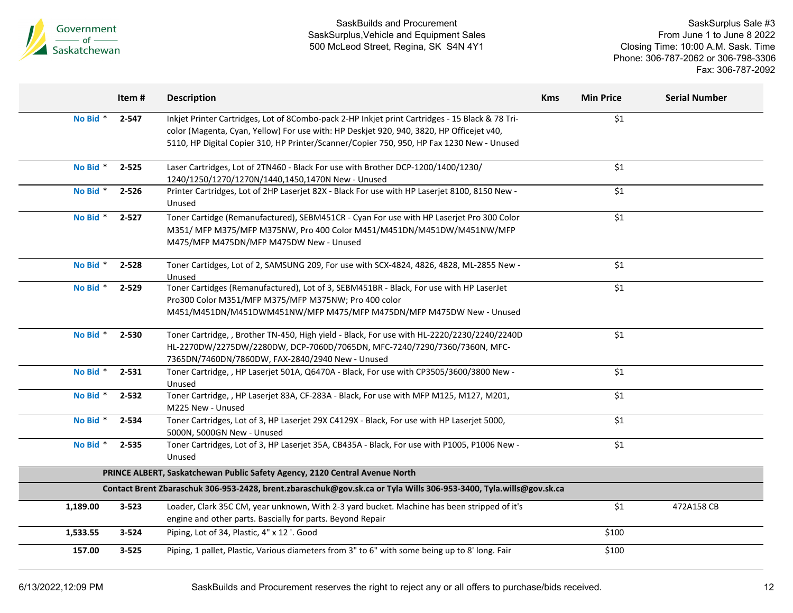

|          | Item#     | <b>Description</b>                                                                                                                                                                                                                                                                       | <b>Kms</b> | <b>Min Price</b>   | <b>Serial Number</b> |
|----------|-----------|------------------------------------------------------------------------------------------------------------------------------------------------------------------------------------------------------------------------------------------------------------------------------------------|------------|--------------------|----------------------|
| No Bid * | $2 - 547$ | Inkjet Printer Cartridges, Lot of 8Combo-pack 2-HP Inkjet print Cartridges - 15 Black & 78 Tri-<br>color (Magenta, Cyan, Yellow) For use with: HP Deskjet 920, 940, 3820, HP Officejet v40,<br>5110, HP Digital Copier 310, HP Printer/Scanner/Copier 750, 950, HP Fax 1230 New - Unused |            | \$1                |                      |
| No Bid * | $2 - 525$ | Laser Cartridges, Lot of 2TN460 - Black For use with Brother DCP-1200/1400/1230/<br>1240/1250/1270/1270N/1440,1450,1470N New - Unused                                                                                                                                                    |            | \$1                |                      |
| No Bid * | $2 - 526$ | Printer Cartridges, Lot of 2HP Laserjet 82X - Black For use with HP Laserjet 8100, 8150 New -<br>Unused                                                                                                                                                                                  |            | \$1                |                      |
| No Bid * | $2 - 527$ | Toner Cartidge (Remanufactured), SEBM451CR - Cyan For use with HP Laserjet Pro 300 Color<br>M351/ MFP M375/MFP M375NW, Pro 400 Color M451/M451DN/M451DW/M451NW/MFP<br>M475/MFP M475DN/MFP M475DW New - Unused                                                                            |            | \$1                |                      |
| No Bid * | 2-528     | Toner Cartidges, Lot of 2, SAMSUNG 209, For use with SCX-4824, 4826, 4828, ML-2855 New -<br>Unused                                                                                                                                                                                       |            | \$1                |                      |
| No Bid * | 2-529     | Toner Cartidges (Remanufactured), Lot of 3, SEBM451BR - Black, For use with HP LaserJet<br>Pro300 Color M351/MFP M375/MFP M375NW; Pro 400 color<br>M451/M451DN/M451DWM451NW/MFP M475/MFP M475DN/MFP M475DW New - Unused                                                                  |            | $\overline{\xi_1}$ |                      |
| No Bid * | 2-530     | Toner Cartridge, , Brother TN-450, High yield - Black, For use with HL-2220/2230/2240/2240D<br>HL-2270DW/2275DW/2280DW, DCP-7060D/7065DN, MFC-7240/7290/7360/7360N, MFC-<br>7365DN/7460DN/7860DW, FAX-2840/2940 New - Unused                                                             |            | \$1                |                      |
| No Bid * | 2-531     | Toner Cartridge, , HP Laserjet 501A, Q6470A - Black, For use with CP3505/3600/3800 New -<br>Unused                                                                                                                                                                                       |            | \$1                |                      |
| No Bid * | 2-532     | Toner Cartridge, , HP Laserjet 83A, CF-283A - Black, For use with MFP M125, M127, M201,<br>M225 New - Unused                                                                                                                                                                             |            | $\overline{\xi_1}$ |                      |
| No Bid * | 2-534     | Toner Cartridges, Lot of 3, HP Laserjet 29X C4129X - Black, For use with HP Laserjet 5000,<br>5000N, 5000GN New - Unused                                                                                                                                                                 |            | \$1                |                      |
| No Bid * | 2-535     | Toner Cartridges, Lot of 3, HP Laserjet 35A, CB435A - Black, For use with P1005, P1006 New -<br>Unused                                                                                                                                                                                   |            | \$1                |                      |
|          |           | PRINCE ALBERT, Saskatchewan Public Safety Agency, 2120 Central Avenue North                                                                                                                                                                                                              |            |                    |                      |
|          |           | Contact Brent Zbaraschuk 306-953-2428, brent.zbaraschuk@gov.sk.ca or Tyla Wills 306-953-3400, Tyla.wills@gov.sk.ca                                                                                                                                                                       |            |                    |                      |
| 1,189.00 | $3 - 523$ | Loader, Clark 35C CM, year unknown, With 2-3 yard bucket. Machine has been stripped of it's<br>engine and other parts. Bascially for parts. Beyond Repair                                                                                                                                |            | \$1                | 472A158 CB           |
| 1,533.55 | $3 - 524$ | Piping, Lot of 34, Plastic, 4" x 12 '. Good                                                                                                                                                                                                                                              |            | \$100              |                      |
| 157.00   | $3 - 525$ | Piping, 1 pallet, Plastic, Various diameters from 3" to 6" with some being up to 8' long. Fair                                                                                                                                                                                           |            | \$100              |                      |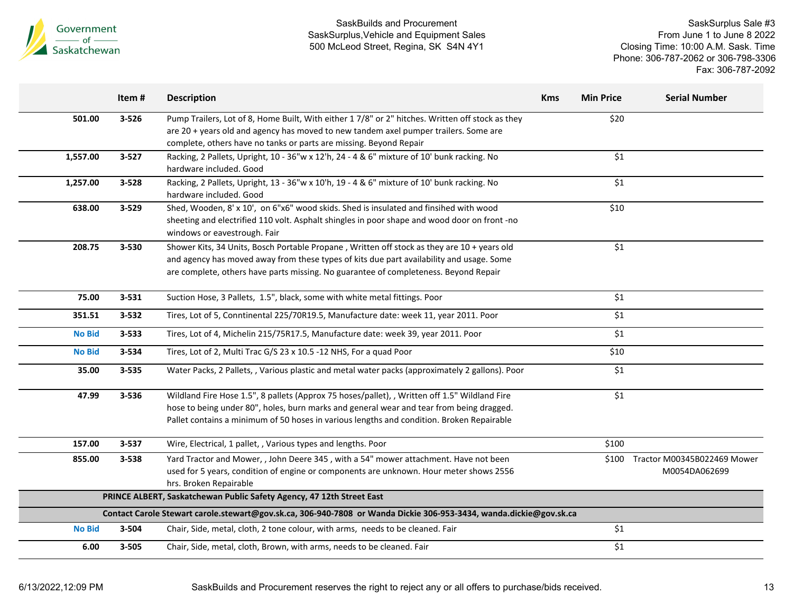

|                                                                                                                    | Item#     | <b>Description</b>                                                                                                                                                                                                                                                                     | <b>Kms</b> | <b>Min Price</b> | <b>Serial Number</b>                         |  |
|--------------------------------------------------------------------------------------------------------------------|-----------|----------------------------------------------------------------------------------------------------------------------------------------------------------------------------------------------------------------------------------------------------------------------------------------|------------|------------------|----------------------------------------------|--|
| 501.00                                                                                                             | $3 - 526$ | Pump Trailers, Lot of 8, Home Built, With either 1 7/8" or 2" hitches. Written off stock as they<br>are 20 + years old and agency has moved to new tandem axel pumper trailers. Some are<br>complete, others have no tanks or parts are missing. Beyond Repair                         |            | \$20             |                                              |  |
| 1,557.00                                                                                                           | $3 - 527$ | Racking, 2 Pallets, Upright, 10 - 36"w x 12'h, 24 - 4 & 6" mixture of 10' bunk racking. No<br>hardware included. Good                                                                                                                                                                  |            | \$1              |                                              |  |
| 1,257.00                                                                                                           | 3-528     | Racking, 2 Pallets, Upright, 13 - 36"w x 10'h, 19 - 4 & 6" mixture of 10' bunk racking. No<br>hardware included. Good                                                                                                                                                                  |            | \$1              |                                              |  |
| 638.00                                                                                                             | 3-529     | Shed, Wooden, 8' x 10', on 6"x6" wood skids. Shed is insulated and finsihed with wood<br>sheeting and electrified 110 volt. Asphalt shingles in poor shape and wood door on front -no<br>windows or eavestrough. Fair                                                                  |            | \$10             |                                              |  |
| 208.75                                                                                                             | 3-530     | Shower Kits, 34 Units, Bosch Portable Propane, Written off stock as they are 10 + years old<br>and agency has moved away from these types of kits due part availability and usage. Some<br>are complete, others have parts missing. No guarantee of completeness. Beyond Repair        |            | \$1              |                                              |  |
| 75.00                                                                                                              | 3-531     | Suction Hose, 3 Pallets, 1.5", black, some with white metal fittings. Poor                                                                                                                                                                                                             |            | \$1              |                                              |  |
| 351.51                                                                                                             | $3 - 532$ | Tires, Lot of 5, Conntinental 225/70R19.5, Manufacture date: week 11, year 2011. Poor                                                                                                                                                                                                  |            | \$1              |                                              |  |
| <b>No Bid</b>                                                                                                      | 3-533     | Tires, Lot of 4, Michelin 215/75R17.5, Manufacture date: week 39, year 2011. Poor                                                                                                                                                                                                      |            | $$1$$            |                                              |  |
| <b>No Bid</b>                                                                                                      | 3-534     | Tires, Lot of 2, Multi Trac G/S 23 x 10.5 -12 NHS, For a quad Poor                                                                                                                                                                                                                     |            | \$10             |                                              |  |
| 35.00                                                                                                              | 3-535     | Water Packs, 2 Pallets, , Various plastic and metal water packs (approximately 2 gallons). Poor                                                                                                                                                                                        |            | \$1              |                                              |  |
| 47.99                                                                                                              | 3-536     | Wildland Fire Hose 1.5", 8 pallets (Approx 75 hoses/pallet), , Written off 1.5" Wildland Fire<br>hose to being under 80", holes, burn marks and general wear and tear from being dragged.<br>Pallet contains a minimum of 50 hoses in various lengths and condition. Broken Repairable |            | \$1              |                                              |  |
| 157.00                                                                                                             | $3 - 537$ | Wire, Electrical, 1 pallet, , Various types and lengths. Poor                                                                                                                                                                                                                          |            | \$100            |                                              |  |
| 855.00                                                                                                             | 3-538     | Yard Tractor and Mower, , John Deere 345, with a 54" mower attachment. Have not been<br>used for 5 years, condition of engine or components are unknown. Hour meter shows 2556<br>hrs. Broken Repairable                                                                               |            | \$100            | Tractor M00345B022469 Mower<br>M0054DA062699 |  |
| PRINCE ALBERT, Saskatchewan Public Safety Agency, 47 12th Street East                                              |           |                                                                                                                                                                                                                                                                                        |            |                  |                                              |  |
| Contact Carole Stewart carole.stewart@gov.sk.ca, 306-940-7808 or Wanda Dickie 306-953-3434, wanda.dickie@gov.sk.ca |           |                                                                                                                                                                                                                                                                                        |            |                  |                                              |  |
| <b>No Bid</b>                                                                                                      | 3-504     | Chair, Side, metal, cloth, 2 tone colour, with arms, needs to be cleaned. Fair                                                                                                                                                                                                         |            | \$1              |                                              |  |
| 6.00                                                                                                               | $3 - 505$ | Chair, Side, metal, cloth, Brown, with arms, needs to be cleaned. Fair                                                                                                                                                                                                                 |            | \$1              |                                              |  |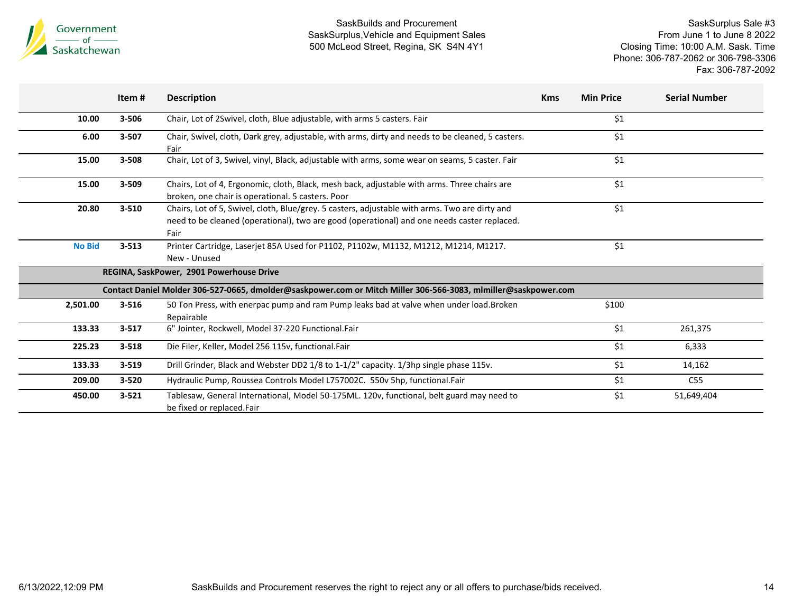

|               | Item#     | <b>Description</b>                                                                                                                                                                                    | <b>Kms</b> | <b>Min Price</b> | <b>Serial Number</b> |
|---------------|-----------|-------------------------------------------------------------------------------------------------------------------------------------------------------------------------------------------------------|------------|------------------|----------------------|
| 10.00         | 3-506     | Chair, Lot of 2Swivel, cloth, Blue adjustable, with arms 5 casters. Fair                                                                                                                              |            | \$1              |                      |
| 6.00          | 3-507     | Chair, Swivel, cloth, Dark grey, adjustable, with arms, dirty and needs to be cleaned, 5 casters.<br>Fair                                                                                             |            | \$1              |                      |
| 15.00         | 3-508     | Chair, Lot of 3, Swivel, vinyl, Black, adjustable with arms, some wear on seams, 5 caster. Fair                                                                                                       |            | \$1              |                      |
| 15.00         | 3-509     | Chairs, Lot of 4, Ergonomic, cloth, Black, mesh back, adjustable with arms. Three chairs are<br>broken, one chair is operational. 5 casters. Poor                                                     |            | \$1              |                      |
| 20.80         | $3 - 510$ | Chairs, Lot of 5, Swivel, cloth, Blue/grey. 5 casters, adjustable with arms. Two are dirty and<br>need to be cleaned (operational), two are good (operational) and one needs caster replaced.<br>Fair |            | \$1              |                      |
| <b>No Bid</b> | $3 - 513$ | Printer Cartridge, Laserjet 85A Used for P1102, P1102w, M1132, M1212, M1214, M1217.<br>New - Unused                                                                                                   |            | \$1              |                      |
|               |           | REGINA, SaskPower, 2901 Powerhouse Drive                                                                                                                                                              |            |                  |                      |
|               |           | Contact Daniel Molder 306-527-0665, dmolder@saskpower.com or Mitch Miller 306-566-3083, mlmiller@saskpower.com                                                                                        |            |                  |                      |
| 2,501.00      | $3 - 516$ | 50 Ton Press, with enerpac pump and ram Pump leaks bad at valve when under load.Broken<br>Repairable                                                                                                  |            | \$100            |                      |
| 133.33        | $3 - 517$ | 6" Jointer, Rockwell, Model 37-220 Functional.Fair                                                                                                                                                    |            | \$1              | 261,375              |
| 225.23        | $3 - 518$ | Die Filer, Keller, Model 256 115v, functional.Fair                                                                                                                                                    |            | \$1              | 6,333                |
| 133.33        | $3 - 519$ | Drill Grinder, Black and Webster DD2 1/8 to 1-1/2" capacity. 1/3hp single phase 115v.                                                                                                                 |            | \$1              | 14,162               |
| 209.00        | $3 - 520$ | Hydraulic Pump, Roussea Controls Model L757002C. 550v 5hp, functional.Fair                                                                                                                            |            | \$1              | C55                  |
| 450.00        | $3 - 521$ | Tablesaw, General International, Model 50-175ML. 120v, functional, belt guard may need to<br>be fixed or replaced.Fair                                                                                |            | \$1              | 51,649,404           |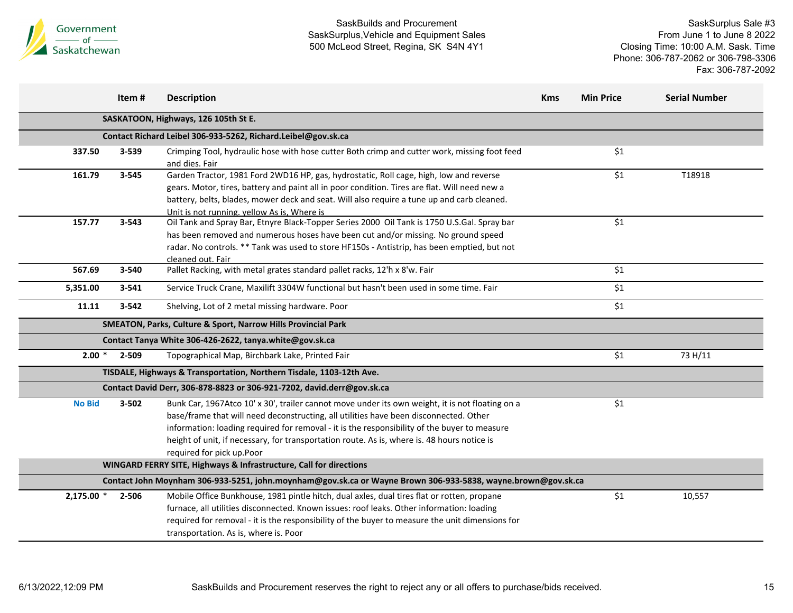

|                                      | Item#          | <b>Description</b>                                                                                                                                                                                                                                                                                                                                                                                                   | <b>Kms</b> | <b>Min Price</b> | <b>Serial Number</b> |  |  |
|--------------------------------------|----------------|----------------------------------------------------------------------------------------------------------------------------------------------------------------------------------------------------------------------------------------------------------------------------------------------------------------------------------------------------------------------------------------------------------------------|------------|------------------|----------------------|--|--|
| SASKATOON, Highways, 126 105th St E. |                |                                                                                                                                                                                                                                                                                                                                                                                                                      |            |                  |                      |  |  |
|                                      |                | Contact Richard Leibel 306-933-5262, Richard.Leibel@gov.sk.ca                                                                                                                                                                                                                                                                                                                                                        |            |                  |                      |  |  |
| 337.50                               | 3-539          | Crimping Tool, hydraulic hose with hose cutter Both crimp and cutter work, missing foot feed<br>and dies. Fair                                                                                                                                                                                                                                                                                                       |            | \$1              |                      |  |  |
| 161.79                               | 3-545          | Garden Tractor, 1981 Ford 2WD16 HP, gas, hydrostatic, Roll cage, high, low and reverse<br>gears. Motor, tires, battery and paint all in poor condition. Tires are flat. Will need new a<br>battery, belts, blades, mower deck and seat. Will also require a tune up and carb cleaned.<br>Unit is not running. yellow As is, Where is                                                                                 |            | \$1              | T18918               |  |  |
| 157.77                               | 3-543          | Oil Tank and Spray Bar, Etnyre Black-Topper Series 2000 Oil Tank is 1750 U.S.Gal. Spray bar<br>has been removed and numerous hoses have been cut and/or missing. No ground speed<br>radar. No controls. ** Tank was used to store HF150s - Antistrip, has been emptied, but not<br>cleaned out. Fair                                                                                                                 |            | \$1              |                      |  |  |
| 567.69                               | 3-540          | Pallet Racking, with metal grates standard pallet racks, 12'h x 8'w. Fair                                                                                                                                                                                                                                                                                                                                            |            | \$1              |                      |  |  |
| 5,351.00                             | $3 - 541$      | Service Truck Crane, Maxilift 3304W functional but hasn't been used in some time. Fair                                                                                                                                                                                                                                                                                                                               |            | \$1              |                      |  |  |
| 11.11                                | 3-542          | Shelving, Lot of 2 metal missing hardware. Poor                                                                                                                                                                                                                                                                                                                                                                      |            | \$1              |                      |  |  |
|                                      |                | SMEATON, Parks, Culture & Sport, Narrow Hills Provincial Park                                                                                                                                                                                                                                                                                                                                                        |            |                  |                      |  |  |
|                                      |                | Contact Tanya White 306-426-2622, tanya.white@gov.sk.ca                                                                                                                                                                                                                                                                                                                                                              |            |                  |                      |  |  |
|                                      | $2.00 * 2-509$ | Topographical Map, Birchbark Lake, Printed Fair                                                                                                                                                                                                                                                                                                                                                                      |            | \$1              | 73 H/11              |  |  |
|                                      |                | TISDALE, Highways & Transportation, Northern Tisdale, 1103-12th Ave.                                                                                                                                                                                                                                                                                                                                                 |            |                  |                      |  |  |
|                                      |                | Contact David Derr, 306-878-8823 or 306-921-7202, david.derr@gov.sk.ca                                                                                                                                                                                                                                                                                                                                               |            |                  |                      |  |  |
| <b>No Bid</b>                        | 3-502          | Bunk Car, 1967Atco 10' x 30', trailer cannot move under its own weight, it is not floating on a<br>base/frame that will need deconstructing, all utilities have been disconnected. Other<br>information: loading required for removal - it is the responsibility of the buyer to measure<br>height of unit, if necessary, for transportation route. As is, where is. 48 hours notice is<br>required for pick up.Poor |            | \$1              |                      |  |  |
|                                      |                | WINGARD FERRY SITE, Highways & Infrastructure, Call for directions                                                                                                                                                                                                                                                                                                                                                   |            |                  |                      |  |  |
|                                      |                | Contact John Moynham 306-933-5251, john.moynham@gov.sk.ca or Wayne Brown 306-933-5838, wayne.brown@gov.sk.ca                                                                                                                                                                                                                                                                                                         |            |                  |                      |  |  |
| 2,175.00 *                           | 2-506          | Mobile Office Bunkhouse, 1981 pintle hitch, dual axles, dual tires flat or rotten, propane<br>furnace, all utilities disconnected. Known issues: roof leaks. Other information: loading<br>required for removal - it is the responsibility of the buyer to measure the unit dimensions for<br>transportation. As is, where is. Poor                                                                                  |            | \$1              | 10,557               |  |  |